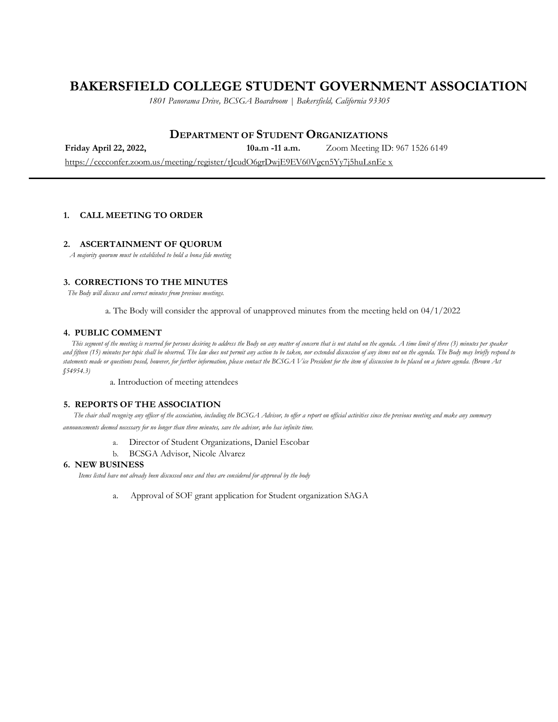# **BAKERSFIELD COLLEGE STUDENT GOVERNMENT ASSOCIATION**

*1801 Panorama Drive, BCSGA Boardroom | Bakersfield, California 93305*

# **DEPARTMENT OF STUDENT ORGANIZATIONS**

**Friday April 22, 2022, 10a.m -11 a.m.** Zoom Meeting ID: 967 1526 6149 https://cccconfer.zoom.us/meeting/register/tJcudO6grDwjE9EV60Vgcn5Yy7j5huLsnEe x

## **1. CALL MEETING TO ORDER**

## **2. ASCERTAINMENT OF QUORUM**

*A majority quorum must be established to hold a bona fide meeting*

# **3. CORRECTIONS TO THE MINUTES**

*The Body will discuss and correct minutes from previous meetings.*

a. The Body will consider the approval of unapproved minutes from the meeting held on 04/1/2022

#### **4. PUBLIC COMMENT**

*This segment of the meeting is reserved for persons desiring to address the Body on any matter of concern that is not stated on the agenda. A time limit of three (3) minutes per speaker and fifteen (15) minutes per topic shall be observed. The law does not permit any action to be taken, nor extended discussion of any items not on the agenda. The Body may briefly respond to statements made or questions posed, however, for further information, please contact the BCSGA Vice President for the item of discussion to be placed on a future agenda. (Brown Act §54954.3)*

a. Introduction of meeting attendees

#### **5. REPORTS OF THE ASSOCIATION**

*The chair shall recognize any officer of the association, including the BCSGA Advisor, to offer a report on official activities since the previous meeting and make any summary announcements deemed necessary for no longer than three minutes, save the advisor, who has infinite time.*

- a. Director of Student Organizations, Daniel Escobar
- b. BCSGA Advisor, Nicole Alvarez

#### **6. NEW BUSINESS**

*Items listed have not already been discussed once and thus are considered for approval by the body*

a. Approval of SOF grant application for Student organization SAGA